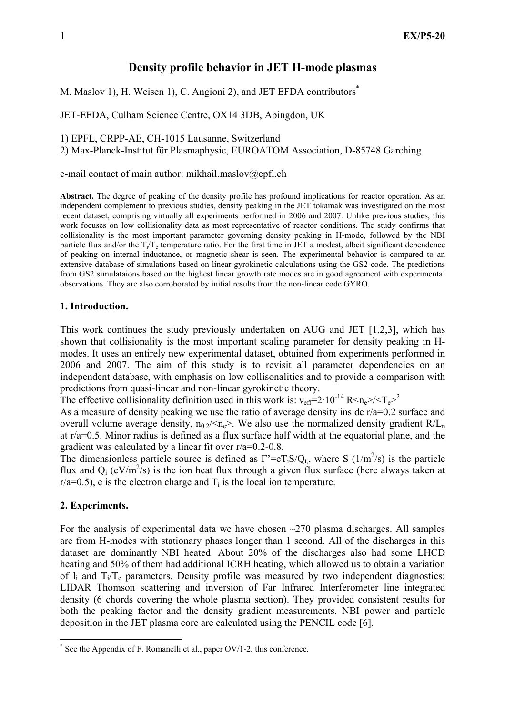## Density profile behavior in JET H-mode plasmas

M. Maslov 1), H. Weisen 1), C. Angioni 2), and JET EFDA contributors<sup>\*</sup>

JET-EFDA, Culham Science Centre, OX14 3DB, Abingdon, UK

1) EPFL, CRPP-AE, CH-1015 Lausanne, Switzerland

2) Max-Planck-Institut für Plasmaphysic, EUROATOM Association, D-85748 Garching

e-mail contact of main author: mikhail.maslov@epfl.ch

Abstract. The degree of peaking of the density profile has profound implications for reactor operation. As an independent complement to previous studies, density peaking in the JET tokamak was investigated on the most recent dataset, comprising virtually all experiments performed in 2006 and 2007. Unlike previous studies, this work focuses on low collisionality data as most representative of reactor conditions. The study confirms that collisionality is the most important parameter governing density peaking in H-mode, followed by the NBI particle flux and/or the  $T_i/T_e$  temperature ratio. For the first time in JET a modest, albeit significant dependence of peaking on internal inductance, or magnetic shear is seen. The experimental behavior is compared to an extensive database of simulations based on linear gyrokinetic calculations using the GS2 code. The predictions from GS2 simulataions based on the highest linear growth rate modes are in good agreement with experimental observations. They are also corroborated by initial results from the non-linear code GYRO.

#### 1. Introduction.

This work continues the study previously undertaken on AUG and JET [1,2,3], which has shown that collisionality is the most important scaling parameter for density peaking in Hmodes. It uses an entirely new experimental dataset, obtained from experiments performed in 2006 and 2007. The aim of this study is to revisit all parameter dependencies on an independent database, with emphasis on low collisonalities and to provide a comparison with predictions from quasi-linear and non-linear gyrokinetic theory.

The effective collisionality definition used in this work is:  $v_{\text{eff}} = 2 \cdot 10^{-14} \text{ R} \text{m} \text{s}^{-1} \text{m}^{-2}$ 

As a measure of density peaking we use the ratio of average density inside r/a=0.2 surface and overall volume average density,  $n_0/2 \ll n_e$ . We also use the normalized density gradient  $R/L_n$ at r/a=0.5. Minor radius is defined as a flux surface half width at the equatorial plane, and the gradient was calculated by a linear fit over r/a=0.2-0.8.

The dimensionless particle source is defined as  $\Gamma' = eT_iS/Q_i$ , where S (1/m<sup>2</sup>/s) is the particle flux and  $Q_i$  (eV/m<sup>2</sup>/s) is the ion heat flux through a given flux surface (here always taken at  $r/a=0.5$ ), e is the electron charge and  $T_i$  is the local ion temperature.

#### 2. Experiments.

 $\overline{a}$ 

For the analysis of experimental data we have chosen  $\sim$ 270 plasma discharges. All samples are from H-modes with stationary phases longer than 1 second. All of the discharges in this dataset are dominantly NBI heated. About 20% of the discharges also had some LHCD heating and 50% of them had additional ICRH heating, which allowed us to obtain a variation of  $l_i$  and  $T_i/T_e$  parameters. Density profile was measured by two independent diagnostics: LIDAR Thomson scattering and inversion of Far Infrared Interferometer line integrated density (6 chords covering the whole plasma section). They provided consistent results for both the peaking factor and the density gradient measurements. NBI power and particle deposition in the JET plasma core are calculated using the PENCIL code [6].

<sup>\*</sup> See the Appendix of F. Romanelli et al., paper OV/1-2, this conference.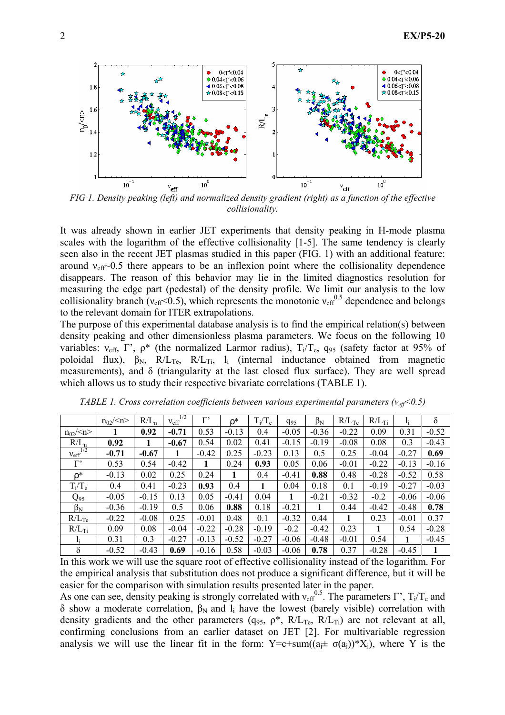

FIG 1. Density peaking (left) and normalized density gradient (right) as a function of the effective collisionality.

It was already shown in earlier JET experiments that density peaking in H-mode plasma scales with the logarithm of the effective collisionality [1-5]. The same tendency is clearly seen also in the recent JET plasmas studied in this paper (FIG. 1) with an additional feature: around  $v_{\text{eff}}$  0.5 there appears to be an inflexion point where the collisionality dependence disappears. The reason of this behavior may lie in the limited diagnostics resolution for measuring the edge part (pedestal) of the density profile. We limit our analysis to the low collisionality branch ( $v_{\text{eff}}$ <0.5), which represents the monotonic  $v_{\text{eff}}^{0.5}$  dependence and belongs to the relevant domain for ITER extrapolations.

The purpose of this experimental database analysis is to find the empirical relation(s) between density peaking and other dimensionless plasma parameters. We focus on the following 10 variables:  $v_{\text{eff}}$ ,  $\Gamma'$ ,  $\rho^*$  (the normalized Larmor radius),  $T_i/T_e$ ,  $q_{95}$  (safety factor at 95% of poloidal flux),  $\beta_N$ ,  $R/L_{Te}$ ,  $R/L_{Ti}$ ,  $l_i$  (internal inductance obtained from magnetic measurements), and  $\delta$  (triangularity at the last closed flux surface). They are well spread which allows us to study their respective bivariate correlations (TABLE 1).

|                         | $n_{02}/< n>$ | $R/L_n$ | 1/2<br>$v_{\text{eff}}$ | r,      | p*      | $T_i/T_e$ | $q_{95}$ | $\beta_N$ | $R/L$ <sub>Te</sub> | $R/L$ <sub>Ti</sub> |         | $\delta$ |
|-------------------------|---------------|---------|-------------------------|---------|---------|-----------|----------|-----------|---------------------|---------------------|---------|----------|
| $n_{02}/< n>$           |               | 0.92    | $-0.71$                 | 0.53    | $-0.13$ | 0.4       | $-0.05$  | $-0.36$   | $-0.22$             | 0.09                | 0.31    | $-0.52$  |
| $R/L_n$                 | 0.92          |         | $-0.67$                 | 0.54    | 0.02    | 0.41      | $-0.15$  | $-0.19$   | $-0.08$             | 0.08                | 0.3     | $-0.43$  |
| 1/2<br>$v_{\text{eff}}$ | $-0.71$       | $-0.67$ |                         | $-0.42$ | 0.25    | $-0.23$   | 0.13     | 0.5       | 0.25                | $-0.04$             | $-0.27$ | 0.69     |
| $\Gamma$                | 0.53          | 0.54    | $-0.42$                 |         | 0.24    | 0.93      | 0.05     | 0.06      | $-0.01$             | $-0.22$             | $-0.13$ | $-0.16$  |
| ρ*                      | $-0.13$       | 0.02    | 0.25                    | 0.24    | 1       | 0.4       | $-0.41$  | 0.88      | 0.48                | $-0.28$             | $-0.52$ | 0.58     |
| $T_i/T_e$               | 0.4           | 0.41    | $-0.23$                 | 0.93    | 0.4     |           | 0.04     | 0.18      | 0.1                 | $-0.19$             | $-0.27$ | $-0.03$  |
| $Q_{95}$                | $-0.05$       | $-0.15$ | 0.13                    | 0.05    | $-0.41$ | 0.04      | 1        | $-0.21$   | $-0.32$             | $-0.2$              | $-0.06$ | $-0.06$  |
| $\beta_{\rm N}$         | $-0.36$       | $-0.19$ | 0.5                     | 0.06    | 0.88    | 0.18      | $-0.21$  |           | 0.44                | $-0.42$             | $-0.48$ | 0.78     |
| $R/L$ <sub>Te</sub>     | $-0.22$       | $-0.08$ | 0.25                    | $-0.01$ | 0.48    | 0.1       | $-0.32$  | 0.44      | 1                   | 0.23                | $-0.01$ | 0.37     |
| $R/L$ <sub>Ti</sub>     | 0.09          | 0.08    | $-0.04$                 | $-0.22$ | $-0.28$ | $-0.19$   | $-0.2$   | $-0.42$   | 0.23                | 1                   | 0.54    | $-0.28$  |
| $l_i$                   | 0.31          | 0.3     | $-0.27$                 | $-0.13$ | $-0.52$ | $-0.27$   | $-0.06$  | $-0.48$   | $-0.01$             | 0.54                |         | $-0.45$  |
| $\delta$                | $-0.52$       | $-0.43$ | 0.69                    | $-0.16$ | 0.58    | $-0.03$   | $-0.06$  | 0.78      | 0.37                | $-0.28$             | $-0.45$ |          |

TABLE 1. Cross correlation coefficients between various experimental parameters ( $v_{\text{eff}}$  < 0.5)

In this work we will use the square root of effective collisionality instead of the logarithm. For the empirical analysis that substitution does not produce a significant difference, but it will be easier for the comparison with simulation results presented later in the paper.

As one can see, density peaking is strongly correlated with  $v_{\text{eff}}^{0.5}$ . The parameters  $\Gamma'$ ,  $T_i/T_e$  and δ show a moderate correlation,  $β_N$  and  $l_i$  have the lowest (barely visible) correlation with density gradients and the other parameters ( $q_{95}$ ,  $\rho^*$ ,  $R/L_{Te}$ ,  $R/L_{Ti}$ ) are not relevant at all, confirming conclusions from an earlier dataset on JET [2]. For multivariable regression analysis we will use the linear fit in the form:  $Y = c + sum((a_i \pm \sigma(a_i))^* X_i)$ , where Y is the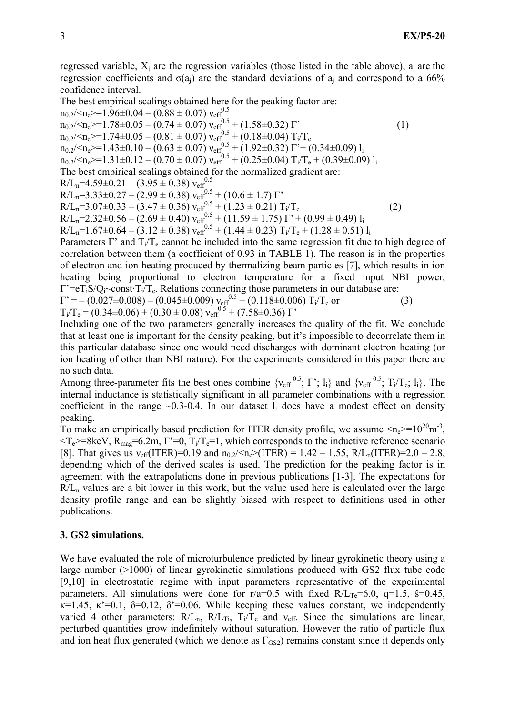regressed variable,  $X_j$  are the regression variables (those listed in the table above),  $a_j$  are the regression coefficients and  $\sigma(a_j)$  are the standard deviations of  $a_j$  and correspond to a 66% confidence interval.

The best empirical scalings obtained here for the peaking factor are:

 $n_{0.2}/< n_e$  $> = 1.96 \pm 0.04 - (0.88 \pm 0.07) v_{eff}^{0.5}$  $n_{0.2}$ /< $n_e$ >=1.78 $\pm$ 0.05 – (0.74  $\pm$  0.07)  $v_{eff}^{0.5}$  + (1.58 $\pm$ 0.32) Γ' (1)  $n_{0.2}$ /< $n_e$ >=1.74±0.05 – (0.81 ± 0.07)  $v_{eff}^{0.5}$  + (0.18±0.04)  $T_i/T_e$  $n_{0.2}$ /< $n_e$ >=1.43±0.10 – (0.63 ± 0.07)  $v_{eff}^{0.5}$  + (1.92±0.32)  $\Gamma$ <sup>2</sup>+ (0.34±0.09) l<sub>i</sub>  $n_{0.2}$ /< $n_e$ >=1.31±0.12 – (0.70 ± 0.07)  $v_{eff}^{0.5}$  + (0.25±0.04)  $T_i/T_e$  + (0.39±0.09)  $l_i$ The best empirical scalings obtained for the normalized gradient are:  $R/L_n = 4.59 \pm 0.21 - (3.95 \pm 0.38) v_{eff}^{0.5}$  $R/L_n=3.33\pm0.27-(2.99\pm0.38) v_{eff}^{0.5}+(10.6\pm1.7) \Gamma'$  $R/L_n=3.07\pm0.33-(3.47\pm0.36) v_{eff}^{0.5}+(1.23\pm0.21) T_i/T_e$  (2)  $R/L_n=2.32\pm0.56-(2.69\pm0.40) v_{eff}^{0.5}+(11.59\pm1.75) \Gamma^{\prime}+(0.99\pm0.49) l_1$  $R/L_n=1.67\pm0.64-(3.12\pm0.38) v_{eff}^{0.5}+(1.44\pm0.23) T_i/T_e+(1.28\pm0.51) l_i$ 

Parameters Γ' and  $T_i/T_e$  cannot be included into the same regression fit due to high degree of correlation between them (a coefficient of 0.93 in TABLE 1). The reason is in the properties of electron and ion heating produced by thermalizing beam particles [7], which results in ion heating being proportional to electron temperature for a fixed input NBI power,  $\Gamma$ '=eT<sub>i</sub>S/Q<sub>i</sub>~const·T<sub>i</sub>/T<sub>e</sub>. Relations connecting those parameters in our database are:

 $\Gamma$ ' = – (0.027±0.008) – (0.045±0.009)  $v_{\text{eff}}^{0.5}$  + (0.118±0.006) T<sub>i</sub>/T<sub>e</sub> or (3)  $T_i/T_e = (0.34 \pm 0.06) + (0.30 \pm 0.08) v_{eff}^{0.5} + (7.58 \pm 0.36) \Gamma$ 

Including one of the two parameters generally increases the quality of the fit. We conclude that at least one is important for the density peaking, but it's impossible to decorrelate them in this particular database since one would need discharges with dominant electron heating (or ion heating of other than NBI nature). For the experiments considered in this paper there are no such data.

Among three-parameter fits the best ones combine  $\{v_{eff}^{0.5}; \Gamma^{\prime}; l_i\}$  and  $\{v_{eff}^{0.5}; T_i/T_e; l_i\}$ . The internal inductance is statistically significant in all parameter combinations with a regression coefficient in the range  $\sim 0.3-0.4$ . In our dataset  $l_i$  does have a modest effect on density peaking.

To make an empirically based prediction for ITER density profile, we assume  $\langle n_e \rangle = 10^{20} \text{m}^3$ ,  $\langle T_e \rangle$ =8keV, R<sub>mag</sub>=6.2m, Γ'=0, T<sub>i</sub>/T<sub>e</sub>=1, which corresponds to the inductive reference scenario [8]. That gives us  $v_{\text{eff}}(\text{ITER})=0.19$  and  $n_{0.2}/< n_e>(\text{ITER}) = 1.42 - 1.55$ ,  $R/L_n(\text{ITER})=2.0 - 2.8$ , depending which of the derived scales is used. The prediction for the peaking factor is in agreement with the extrapolations done in previous publications [1-3]. The expectations for  $R/L_n$  values are a bit lower in this work, but the value used here is calculated over the large density profile range and can be slightly biased with respect to definitions used in other publications.

## 3. GS2 simulations.

We have evaluated the role of microturbulence predicted by linear gyrokinetic theory using a large number (>1000) of linear gyrokinetic simulations produced with GS2 flux tube code [9,10] in electrostatic regime with input parameters representative of the experimental parameters. All simulations were done for  $r/a=0.5$  with fixed  $R/L_{Te}=6.0$ ,  $q=1.5$ ,  $\hat{s}=0.45$ ,  $κ=1.45, κ'=0.1, δ=0.12, δ'=0.06$ . While keeping these values constant, we independently varied 4 other parameters:  $R/L_n$ ,  $R/L_{Ti}$ ,  $T_i/T_e$  and  $v_{eff}$ . Since the simulations are linear, perturbed quantities grow indefinitely without saturation. However the ratio of particle flux and ion heat flux generated (which we denote as  $\Gamma$ <sub>GS2</sub>) remains constant since it depends only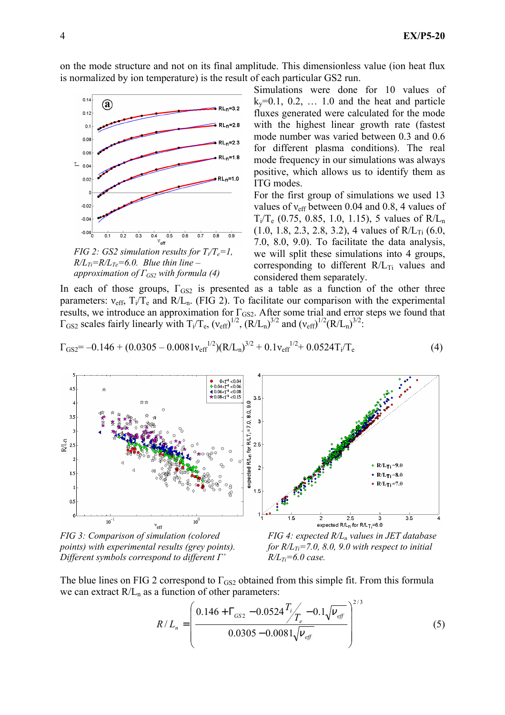on the mode structure and not on its final amplitude. This dimensionless value (ion heat flux is normalized by ion temperature) is the result of each particular GS2 run.



 $R/L_{Ti}=R/L_{Te}=6.0$ . Blue thin line approximation of  $\Gamma_{GS2}$  with formula (4)

 $k_y=0.1$ , 0.2,  $\ldots$  1.0 and the heat and particle fluxes generated were calculated for the mode with the highest linear growth rate (fastest mode number was varied between 0.3 and 0.6 for different plasma conditions). The real mode frequency in our simulations was always positive, which allows us to identify them as ITG modes.

Simulations were done for 10 values of

For the first group of simulations we used 13 values of νeff between 0.04 and 0.8, 4 values of  $T_i/T_e$  (0.75, 0.85, 1.0, 1.15), 5 values of  $R/L_n$  $(1.0, 1.8, 2.3, 2.8, 3.2),$  4 values of R/L<sub>Ti</sub>  $(6.0, 1.8, 2.3, 2.8, 3.2),$ 7.0, 8.0, 9.0). To facilitate the data analysis, we will split these simulations into 4 groups, corresponding to different  $R/L_{Ti}$  values and considered them separately.

In each of those groups,  $\Gamma_{GS2}$  is presented as a table as a function of the other three parameters:  $v_{\text{eff}}$ ,  $T_i/T_e$  and  $R/L_n$ . (FIG 2). To facilitate our comparison with the experimental results, we introduce an approximation for  $\Gamma_{GS2}$ . After some trial and error steps we found that  $\Gamma_{GS2}$  scales fairly linearly with  $T_i/T_e$ ,  $(v_{eff})^{1/2}$ ,  $(R/L_n)^{3/2}$  and  $(v_{eff})^{1/2}(R/L_n)^{3/2}$ :

$$
\Gamma_{GS2} = -0.146 + (0.0305 - 0.0081v_{eff}^{1/2})(R/L_n)^{3/2} + 0.1v_{eff}^{1/2} + 0.0524T_i/T_e
$$
\n(4)



FIG 3: Comparison of simulation (colored points) with experimental results (grey points). Different symbols correspond to different Γ'

FIG 4: expected  $R/L_n$  values in JET database for  $R/L_{Ti}$ =7.0, 8.0, 9.0 with respect to initial  $R/L_{Ti} = 6.0$  case.

The blue lines on FIG 2 correspond to  $\Gamma_{GS2}$  obtained from this simple fit. From this formula we can extract  $R/L_n$  as a function of other parameters:

$$
R/L_n = \left(\frac{0.146 + \Gamma_{GS2} - 0.0524 \frac{T_i}{T_e} - 0.1 \sqrt{\nu_{eff}}}{0.0305 - 0.0081 \sqrt{\nu_{eff}}}\right)^{2/3}
$$
(5)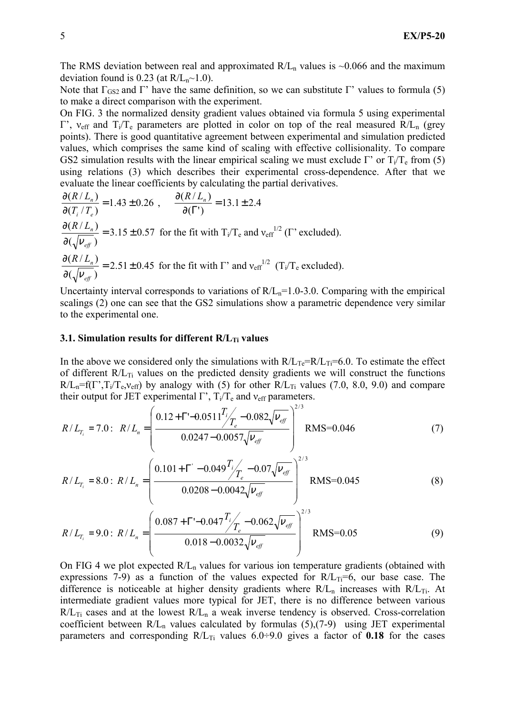The RMS deviation between real and approximated  $R/L_n$  values is  $\sim 0.066$  and the maximum deviation found is 0.23 (at  $R/L_n \sim 1.0$ ).

Note that  $\Gamma$ <sub>GS2</sub> and Γ' have the same definition, so we can substitute Γ' values to formula (5) to make a direct comparison with the experiment.

On FIG. 3 the normalized density gradient values obtained via formula 5 using experimental  $Γ'$ ,  $v_{\text{eff}}$  and  $T_i/T_e$  parameters are plotted in color on top of the real measured R/L<sub>n</sub> (grey points). There is good quantitative agreement between experimental and simulation predicted values, which comprises the same kind of scaling with effective collisionality. To compare GS2 simulation results with the linear empirical scaling we must exclude Γ' or  $T_i/T_e$  from (5) using relations (3) which describes their experimental cross-dependence. After that we evaluate the linear coefficients by calculating the partial derivatives.

$$
\frac{\partial (R/L_n)}{\partial (T_i/T_e)} = 1.43 \pm 0.26 , \qquad \frac{\partial (R/L_n)}{\partial (\Gamma')} = 13.1 \pm 2.4
$$
  

$$
\frac{\partial (R/L_n)}{\partial (\sqrt{v_{\text{eff}}})} = 3.15 \pm 0.57 \text{ for the fit with } T_i/T_e \text{ and } v_{\text{eff}}^{1/2} (\Gamma' \text{ excluded}).
$$
  

$$
\frac{\partial (R/L_n)}{\partial (\sqrt{v_{\text{eff}}})} = 2.51 \pm 0.45 \text{ for the fit with } \Gamma' \text{ and } v_{\text{eff}}^{1/2} (\Gamma_i/T_e \text{ excluded}).
$$

Uncertainty interval corresponds to variations of  $R/L_n=1.0-3.0$ . Comparing with the empirical scalings (2) one can see that the GS2 simulations show a parametric dependence very similar to the experimental one.

#### 3.1. Simulation results for different  $R/L_T$  values

In the above we considered only the simulations with  $R/L_{Te}=R/L_{Ti}=6.0$ . To estimate the effect of different  $R/L_{Ti}$  values on the predicted density gradients we will construct the functions  $R/L_n=f(\Gamma',T_i/T_e,v_{eff})$  by analogy with (5) for other  $R/L_{Ti}$  values (7.0, 8.0, 9.0) and compare their output for JET experimental  $\Gamma$ ',  $T_i/T_e$  and  $v_{\text{eff}}$  parameters.

$$
R/L_{T_i} = 7.0: \ \ R/L_n = \left(\frac{0.12 + \Gamma - 0.0511 \frac{T_i}{T_e} - 0.082 \sqrt{\nu_{\text{eff}}}}{0.0247 - 0.0057 \sqrt{\nu_{\text{eff}}}}\right)^{2/3} \text{RMS} = 0.046 \tag{7}
$$

$$
R/L_{T_i} = 8.0: R/L_n = \left(\frac{0.101 + \Gamma' - 0.049 \frac{T_i}{T_e} - 0.07 \sqrt{\nu_{\text{eff}}}}{0.0208 - 0.0042 \sqrt{\nu_{\text{eff}}}}\right)^{2/3} \text{RMS} = 0.045
$$
 (8)

$$
R/L_{T_i} = 9.0: R/L_n = \left(\frac{0.087 + \Gamma - 0.047 \frac{T_i}{T_e} - 0.062 \sqrt{\nu_{\text{eff}}}}{0.018 - 0.0032 \sqrt{\nu_{\text{eff}}}}\right)^{2/3} \text{RMS} = 0.05
$$
\n(9)

On FIG 4 we plot expected  $R/L<sub>n</sub>$  values for various ion temperature gradients (obtained with expressions 7-9) as a function of the values expected for  $R/L_{Ti}=6$ , our base case. The difference is noticeable at higher density gradients where  $R/L_n$  increases with  $R/L_{Ti}$ . At intermediate gradient values more typical for JET, there is no difference between various  $R/L_{Ti}$  cases and at the lowest  $R/L_n$  a weak inverse tendency is observed. Cross-correlation coefficient between  $R/L_n$  values calculated by formulas (5),(7-9) using JET experimental parameters and corresponding  $R/L_{Ti}$  values 6.0÷9.0 gives a factor of 0.18 for the cases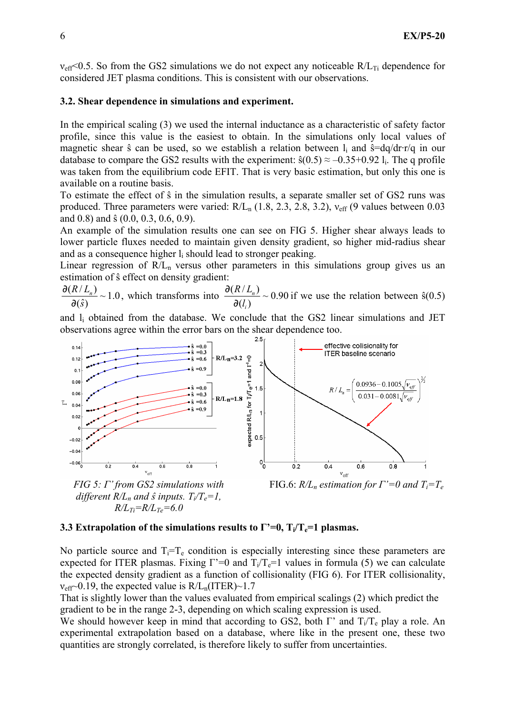$v_{\text{eff}}$  < 0.5. So from the GS2 simulations we do not expect any noticeable R/L<sub>Ti</sub> dependence for considered JET plasma conditions. This is consistent with our observations.

### 3.2. Shear dependence in simulations and experiment.

In the empirical scaling (3) we used the internal inductance as a characteristic of safety factor profile, since this value is the easiest to obtain. In the simulations only local values of magnetic shear  $\hat{s}$  can be used, so we establish a relation between  $l_i$  and  $\hat{s} = dq/dr \cdot r/q$  in our database to compare the GS2 results with the experiment:  $\hat{s}(0.5) \approx -0.35+0.92$  l<sub>i</sub>. The q profile was taken from the equilibrium code EFIT. That is very basic estimation, but only this one is available on a routine basis.

To estimate the effect of ŝ in the simulation results, a separate smaller set of GS2 runs was produced. Three parameters were varied:  $R/L_n$  (1.8, 2.3, 2.8, 3.2),  $v_{\text{eff}}$  (9 values between 0.03 and 0.8) and ŝ (0.0, 0.3, 0.6, 0.9).

An example of the simulation results one can see on FIG 5. Higher shear always leads to lower particle fluxes needed to maintain given density gradient, so higher mid-radius shear and as a consequence higher  $l_i$  should lead to stronger peaking.

Linear regression of  $R/L_n$  versus other parameters in this simulations group gives us an estimation of ŝ effect on density gradient:

 $\frac{\partial (R/L_n)}{\partial \phi}(k) \sim 1.0$ , which transforms into  $\frac{\partial (R/L_n)}{\partial \phi}(k) \sim 0.90$  $\partial(\hat{s})$  $(l_i)$  $(R / L_n)$ i n l  $R/L$ ∂  $\frac{\partial (R/L_n)}{\partial (R)}$  ~ 0.90 if we use the relation between  $\hat{s}(0.5)$ 

and li obtained from the database. We conclude that the GS2 linear simulations and JET observations agree within the error bars on the shear dependence too.



 $FIG 5: \Gamma'$  from  $GS2$  simulations with different  $R/L_n$  and  $\hat{s}$  inputs.  $T_i/T_e=1$ ,  $R/L_{Ti}=R/L_{Te}=6.0$ 

FIG.6:  $R/L_n$  estimation for  $\Gamma'=0$  and  $T_i=T_e$ 

#### 3.3 Extrapolation of the simulations results to  $\Gamma$ '=0,  $T_i/T_e$ =1 plasmas.

No particle source and  $T_i = T_e$  condition is especially interesting since these parameters are expected for ITER plasmas. Fixing  $\Gamma = 0$  and  $T_i/T_e = 1$  values in formula (5) we can calculate the expected density gradient as a function of collisionality (FIG 6). For ITER collisionality,  $v_{\text{eff}}$  $\sim$ 0.19, the expected value is R/L<sub>n</sub>(ITER) $\sim$ 1.7

That is slightly lower than the values evaluated from empirical scalings (2) which predict the gradient to be in the range 2-3, depending on which scaling expression is used.

We should however keep in mind that according to GS2, both  $\Gamma'$  and  $T_i/T_e$  play a role. An experimental extrapolation based on a database, where like in the present one, these two quantities are strongly correlated, is therefore likely to suffer from uncertainties.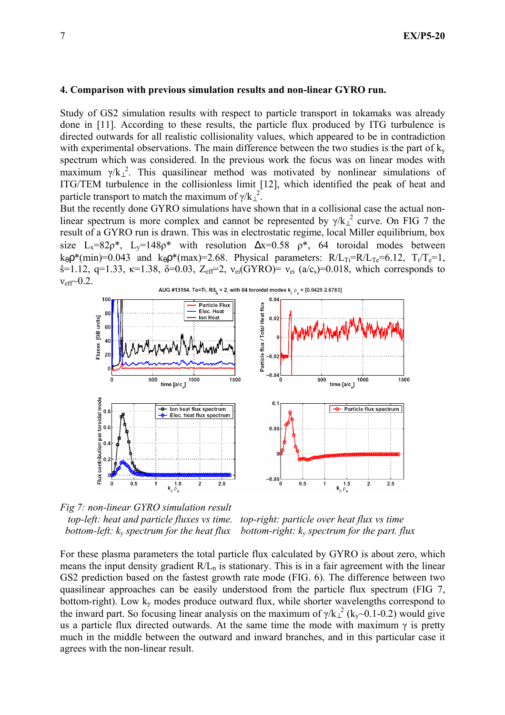### 4. Comparison with previous simulation results and non-linear GYRO run.

Study of GS2 simulation results with respect to particle transport in tokamaks was already done in [11]. According to these results, the particle flux produced by ITG turbulence is directed outwards for all realistic collisionality values, which appeared to be in contradiction with experimental observations. The main difference between the two studies is the part of  $k_y$ spectrum which was considered. In the previous work the focus was on linear modes with maximum  $\gamma/k_{\perp}^2$ . This quasilinear method was motivated by nonlinear simulations of ITG/TEM turbulence in the collisionless limit [12], which identified the peak of heat and particle transport to match the maximum of  $\gamma/k_{\perp}^2$ .

But the recently done GYRO simulations have shown that in a collisional case the actual nonlinear spectrum is more complex and cannot be represented by  $\gamma/k_{\perp}^2$  curve. On FIG 7 the result of a GYRO run is drawn. This was in electrostatic regime, local Miller equilibrium, box size L<sub>x</sub>=82 $\rho^*$ , L<sub>y</sub>=148 $\rho^*$  with resolution  $\Delta x=0.58$   $\rho^*$ , 64 toroidal modes between  $k_{\theta} \rho^*(\text{min})=0.043$  and  $k_{\theta} \rho^*(\text{max})=2.68$ . Physical parameters:  $R/L_{Ti}=R/L_{Te}=6.12$ ,  $T_i/T_e=1$ ,  $\hat{s}$ =1.12, q=1.33, κ=1.38, δ=0.03, Z<sub>eff</sub>=2, ν<sub>ei</sub>(GYRO)= ν<sub>ei</sub> (a/c<sub>s</sub>)=0.018, which corresponds to  $v_{\text{eff}}$  0.2.



Fig 7: non-linear GYRO simulation result top-left: heat and particle fluxes vs time. top-right: particle over heat flux vs time bottom-left:  $k_y$  spectrum for the heat flux bottom-right:  $k_y$  spectrum for the part. flux

For these plasma parameters the total particle flux calculated by GYRO is about zero, which means the input density gradient  $R/L_n$  is stationary. This is in a fair agreement with the linear GS2 prediction based on the fastest growth rate mode (FIG. 6). The difference between two quasilinear approaches can be easily understood from the particle flux spectrum (FIG 7, bottom-right). Low  $k_v$  modes produce outward flux, while shorter wavelengths correspond to the inward part. So focusing linear analysis on the maximum of  $\gamma/k_{\perp}^2$  (k<sub>y</sub>~0.1-0.2) would give us a particle flux directed outwards. At the same time the mode with maximum  $\gamma$  is pretty much in the middle between the outward and inward branches, and in this particular case it agrees with the non-linear result.